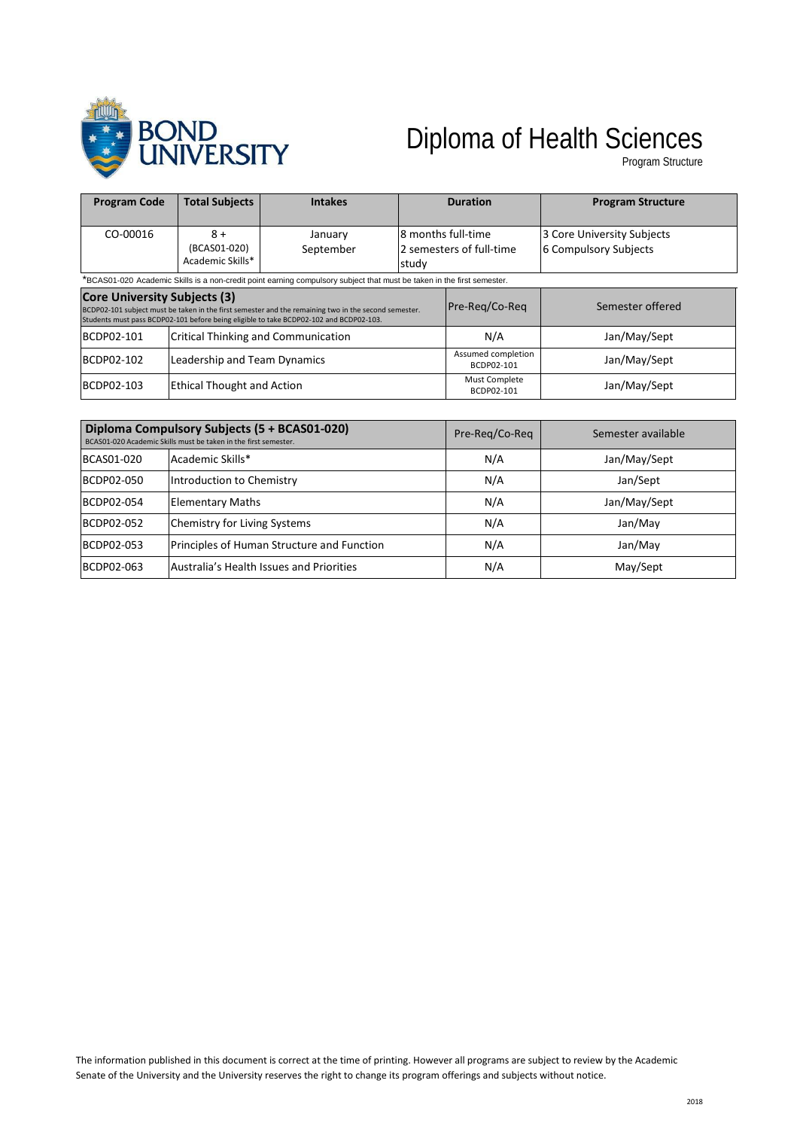

## Diploma of Health Sciences

Program Structure

| <b>Program Code</b>                                                                                                                                                                                                                   | <b>Total Subjects</b>                      | <b>Intakes</b>       | <b>Duration</b>                                          |                                  | <b>Program Structure</b>                            |  |
|---------------------------------------------------------------------------------------------------------------------------------------------------------------------------------------------------------------------------------------|--------------------------------------------|----------------------|----------------------------------------------------------|----------------------------------|-----------------------------------------------------|--|
| CO-00016                                                                                                                                                                                                                              | $8+$<br>(BCAS01-020)<br>Academic Skills*   | January<br>September | l8 months full-time<br>2 semesters of full-time<br>study |                                  | 3 Core University Subjects<br>6 Compulsory Subjects |  |
| *BCAS01-020 Academic Skills is a non-credit point earning compulsory subject that must be taken in the first semester.                                                                                                                |                                            |                      |                                                          |                                  |                                                     |  |
| <b>Core University Subjects (3)</b><br>BCDP02-101 subject must be taken in the first semester and the remaining two in the second semester.<br>Students must pass BCDP02-101 before being eligible to take BCDP02-102 and BCDP02-103. |                                            |                      | Pre-Reg/Co-Reg                                           | Semester offered                 |                                                     |  |
| BCDP02-101                                                                                                                                                                                                                            | <b>Critical Thinking and Communication</b> |                      |                                                          | N/A                              | Jan/May/Sept                                        |  |
| BCDP02-102                                                                                                                                                                                                                            | Leadership and Team Dynamics               |                      |                                                          | Assumed completion<br>BCDP02-101 | Jan/May/Sept                                        |  |
| BCDP02-103                                                                                                                                                                                                                            | <b>Ethical Thought and Action</b>          |                      |                                                          | Must Complete<br>BCDP02-101      | Jan/May/Sept                                        |  |

| Diploma Compulsory Subjects (5 + BCAS01-020)<br>BCAS01-020 Academic Skills must be taken in the first semester. |                                            | Pre-Reg/Co-Reg | Semester available |
|-----------------------------------------------------------------------------------------------------------------|--------------------------------------------|----------------|--------------------|
| BCAS01-020                                                                                                      | Academic Skills*                           | N/A            | Jan/May/Sept       |
| BCDP02-050                                                                                                      | Introduction to Chemistry                  | N/A            | Jan/Sept           |
| BCDP02-054                                                                                                      | <b>Elementary Maths</b>                    | N/A            | Jan/May/Sept       |
| BCDP02-052                                                                                                      | <b>Chemistry for Living Systems</b>        | N/A            | Jan/May            |
| BCDP02-053                                                                                                      | Principles of Human Structure and Function | N/A            | Jan/May            |
| BCDP02-063                                                                                                      | Australia's Health Issues and Priorities   | N/A            | May/Sept           |